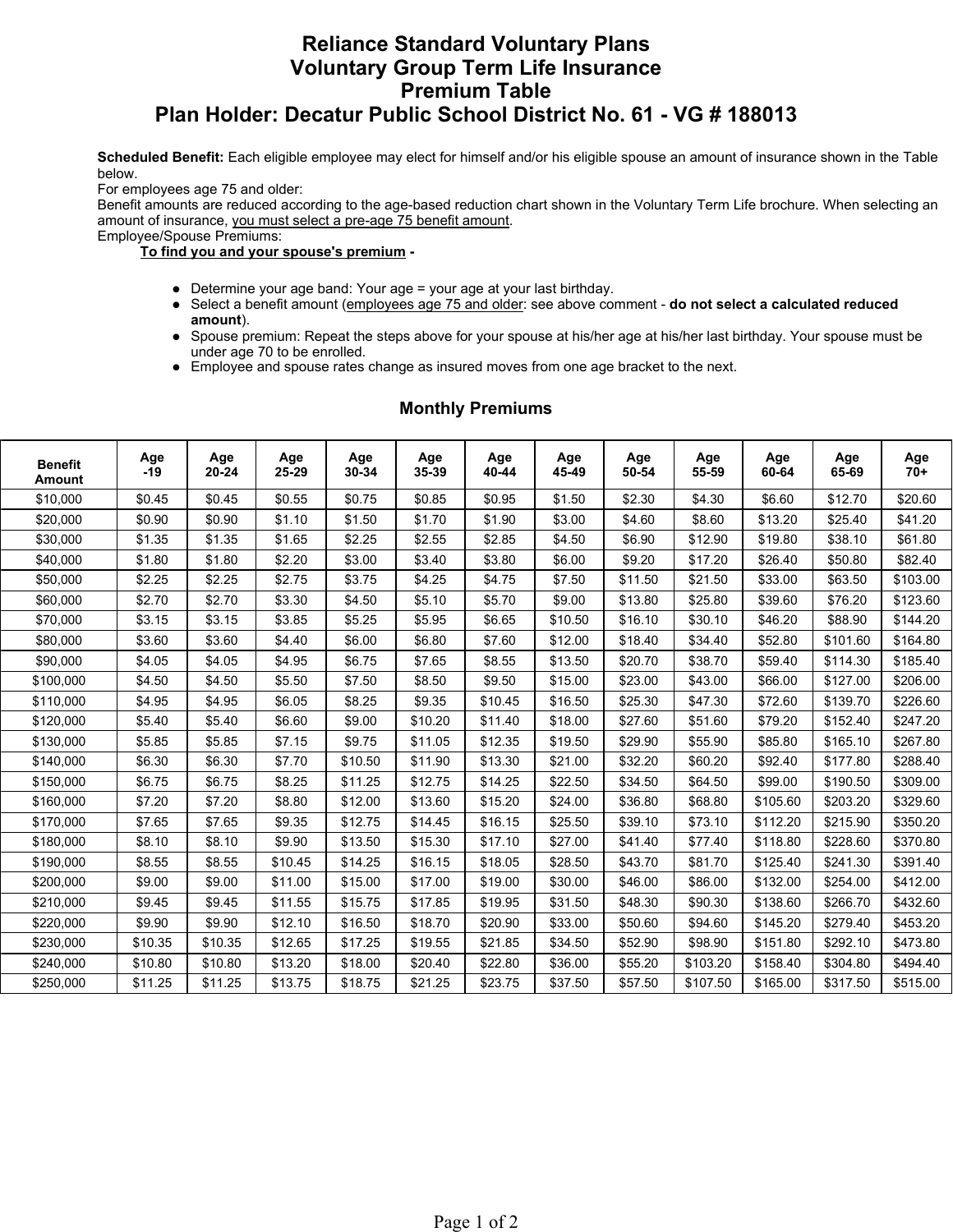# **Reliance Standard Voluntary Plans Voluntary Group Term Life Insurance Premium Table Plan Holder: Decatur Public School District No. 61 - VG # 188013**

**Scheduled Benefit:** Each eligible employee may elect for himself and/or his eligible spouse an amount of insurance shown in the Table below.

For employees age 75 and older:

Benefit amounts are reduced according to the age-based reduction chart shown in the Voluntary Term Life brochure. When selecting an amount of insurance, you must select a pre-age 75 benefit amount.

Employee/Spouse Premiums:

### **To find you and your spouse's premium -**

- Determine your age band: Your age = your age at your last birthday.
- l Select a benefit amount (employees age 75 and older: see above comment **do not select a calculated reduced amount**).
- Spouse premium: Repeat the steps above for your spouse at his/her age at his/her last birthday. Your spouse must be under age 70 to be enrolled.
- Employee and spouse rates change as insured moves from one age bracket to the next.

| <b>Benefit</b><br><b>Amount</b> | Age<br>-19 | Age<br>20-24 | Age<br>25-29 | Age<br>30-34 | Age<br>35-39 | Age<br>40-44 | Age<br>45-49 | Age<br>50-54 | Age<br>55-59 | Age<br>60-64 | Age<br>65-69 | Age<br>$70+$ |
|---------------------------------|------------|--------------|--------------|--------------|--------------|--------------|--------------|--------------|--------------|--------------|--------------|--------------|
| \$10,000                        | \$0.45     | \$0.45       | \$0.55       | \$0.75       | \$0.85       | \$0.95       | \$1.50       | \$2.30       | \$4.30       | \$6.60       | \$12.70      | \$20.60      |
| \$20,000                        | \$0.90     | \$0.90       | \$1.10       | \$1.50       | \$1.70       | \$1.90       | \$3.00       | \$4.60       | \$8.60       | \$13.20      | \$25.40      | \$41.20      |
| \$30,000                        | \$1.35     | \$1.35       | \$1.65       | \$2.25       | \$2.55       | \$2.85       | \$4.50       | \$6.90       | \$12.90      | \$19.80      | \$38.10      | \$61.80      |
| \$40,000                        | \$1.80     | \$1.80       | \$2.20       | \$3.00       | \$3.40       | \$3.80       | \$6.00       | \$9.20       | \$17.20      | \$26.40      | \$50.80      | \$82.40      |
| \$50,000                        | \$2.25     | \$2.25       | \$2.75       | \$3.75       | \$4.25       | \$4.75       | \$7.50       | \$11.50      | \$21.50      | \$33.00      | \$63.50      | \$103.00     |
| \$60,000                        | \$2.70     | \$2.70       | \$3.30       | \$4.50       | \$5.10       | \$5.70       | \$9.00       | \$13.80      | \$25.80      | \$39.60      | \$76.20      | \$123.60     |
| \$70,000                        | \$3.15     | \$3.15       | \$3.85       | \$5.25       | \$5.95       | \$6.65       | \$10.50      | \$16.10      | \$30.10      | \$46.20      | \$88.90      | \$144.20     |
| \$80,000                        | \$3.60     | \$3.60       | \$4.40       | \$6.00       | \$6.80       | \$7.60       | \$12.00      | \$18.40      | \$34.40      | \$52.80      | \$101.60     | \$164.80     |
| \$90,000                        | \$4.05     | \$4.05       | \$4.95       | \$6.75       | \$7.65       | \$8.55       | \$13.50      | \$20.70      | \$38.70      | \$59.40      | \$114.30     | \$185.40     |
| \$100,000                       | \$4.50     | \$4.50       | \$5.50       | \$7.50       | \$8.50       | \$9.50       | \$15.00      | \$23.00      | \$43.00      | \$66.00      | \$127.00     | \$206.00     |
| \$110,000                       | \$4.95     | \$4.95       | \$6.05       | \$8.25       | \$9.35       | \$10.45      | \$16.50      | \$25.30      | \$47.30      | \$72.60      | \$139.70     | \$226.60     |
| \$120,000                       | \$5.40     | \$5.40       | \$6.60       | \$9.00       | \$10.20      | \$11.40      | \$18.00      | \$27.60      | \$51.60      | \$79.20      | \$152.40     | \$247.20     |
| \$130,000                       | \$5.85     | \$5.85       | \$7.15       | \$9.75       | \$11.05      | \$12.35      | \$19.50      | \$29.90      | \$55.90      | \$85.80      | \$165.10     | \$267.80     |
| \$140,000                       | \$6.30     | \$6.30       | \$7.70       | \$10.50      | \$11.90      | \$13.30      | \$21.00      | \$32.20      | \$60.20      | \$92.40      | \$177.80     | \$288.40     |
| \$150,000                       | \$6.75     | \$6.75       | \$8.25       | \$11.25      | \$12.75      | \$14.25      | \$22.50      | \$34.50      | \$64.50      | \$99.00      | \$190.50     | \$309.00     |
| \$160,000                       | \$7.20     | \$7.20       | \$8.80       | \$12.00      | \$13.60      | \$15.20      | \$24.00      | \$36.80      | \$68.80      | \$105.60     | \$203.20     | \$329.60     |
| \$170,000                       | \$7.65     | \$7.65       | \$9.35       | \$12.75      | \$14.45      | \$16.15      | \$25.50      | \$39.10      | \$73.10      | \$112.20     | \$215.90     | \$350.20     |
| \$180,000                       | \$8.10     | \$8.10       | \$9.90       | \$13.50      | \$15.30      | \$17.10      | \$27.00      | \$41.40      | \$77.40      | \$118.80     | \$228.60     | \$370.80     |
| \$190,000                       | \$8.55     | \$8.55       | \$10.45      | \$14.25      | \$16.15      | \$18.05      | \$28.50      | \$43.70      | \$81.70      | \$125.40     | \$241.30     | \$391.40     |
| \$200,000                       | \$9.00     | \$9.00       | \$11.00      | \$15.00      | \$17.00      | \$19.00      | \$30.00      | \$46.00      | \$86.00      | \$132.00     | \$254.00     | \$412.00     |
| \$210,000                       | \$9.45     | \$9.45       | \$11.55      | \$15.75      | \$17.85      | \$19.95      | \$31.50      | \$48.30      | \$90.30      | \$138.60     | \$266.70     | \$432.60     |
| \$220,000                       | \$9.90     | \$9.90       | \$12.10      | \$16.50      | \$18.70      | \$20.90      | \$33.00      | \$50.60      | \$94.60      | \$145.20     | \$279.40     | \$453.20     |
| \$230,000                       | \$10.35    | \$10.35      | \$12.65      | \$17.25      | \$19.55      | \$21.85      | \$34.50      | \$52.90      | \$98.90      | \$151.80     | \$292.10     | \$473.80     |
| \$240,000                       | \$10.80    | \$10.80      | \$13.20      | \$18.00      | \$20.40      | \$22.80      | \$36.00      | \$55.20      | \$103.20     | \$158.40     | \$304.80     | \$494.40     |
| \$250,000                       | \$11.25    | \$11.25      | \$13.75      | \$18.75      | \$21.25      | \$23.75      | \$37.50      | \$57.50      | \$107.50     | \$165.00     | \$317.50     | \$515.00     |

### **Monthly Premiums**